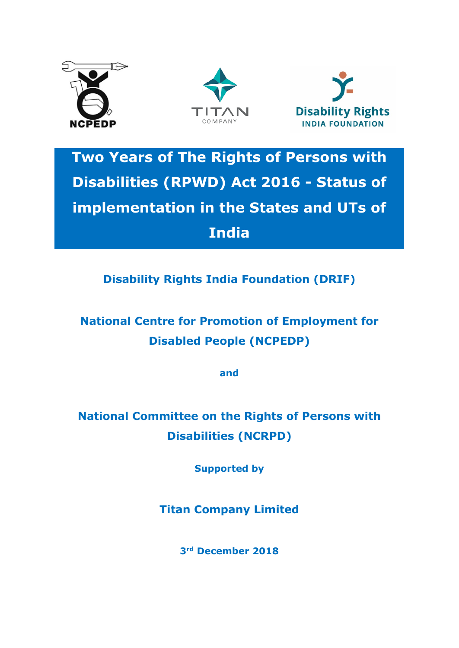





**Two Years of The Rights of Persons with Disabilities (RPWD) Act 2016 - Status of implementation in the States and UTs of India**

**Disability Rights India Foundation (DRIF)**

**National Centre for Promotion of Employment for Disabled People (NCPEDP)**

**and**

**National Committee on the Rights of Persons with Disabilities (NCRPD)**

**Supported by**

**Titan Company Limited**

**3rd December 2018**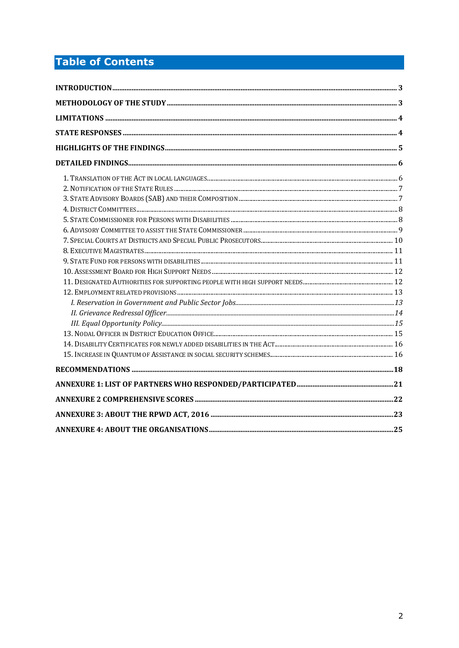# **Table of Contents**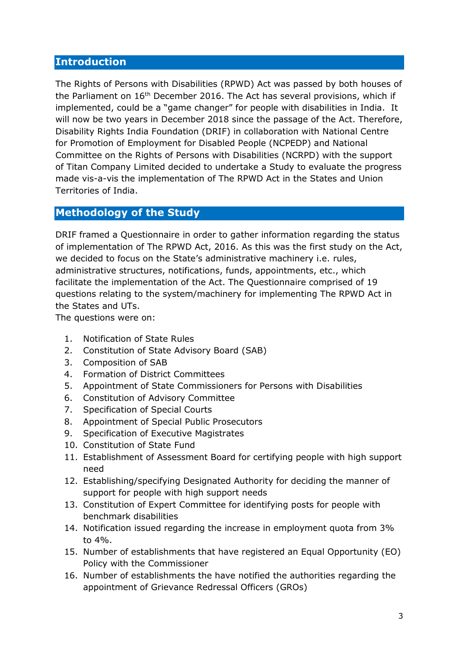#### <span id="page-2-0"></span>**Introduction**

The Rights of Persons with Disabilities (RPWD) Act was passed by both houses of the Parliament on 16<sup>th</sup> December 2016. The Act has several provisions, which if implemented, could be a "game changer" for people with disabilities in India. It will now be two years in December 2018 since the passage of the Act. Therefore, Disability Rights India Foundation (DRIF) in collaboration with National Centre for Promotion of Employment for Disabled People (NCPEDP) and National Committee on the Rights of Persons with Disabilities (NCRPD) with the support of Titan Company Limited decided to undertake a Study to evaluate the progress made vis-a-vis the implementation of The RPWD Act in the States and Union Territories of India.

# <span id="page-2-1"></span>**Methodology of the Study**

DRIF framed a Questionnaire in order to gather information regarding the status of implementation of The RPWD Act, 2016. As this was the first study on the Act, we decided to focus on the State's administrative machinery i.e. rules, administrative structures, notifications, funds, appointments, etc., which facilitate the implementation of the Act. The Questionnaire comprised of 19 questions relating to the system/machinery for implementing The RPWD Act in the States and UTs.

The questions were on:

- 1. Notification of State Rules
- 2. Constitution of State Advisory Board (SAB)
- 3. Composition of SAB
- 4. Formation of District Committees
- 5. Appointment of State Commissioners for Persons with Disabilities
- 6. Constitution of Advisory Committee
- 7. Specification of Special Courts
- 8. Appointment of Special Public Prosecutors
- 9. Specification of Executive Magistrates
- 10. Constitution of State Fund
- 11. Establishment of Assessment Board for certifying people with high support need
- 12. Establishing/specifying Designated Authority for deciding the manner of support for people with high support needs
- 13. Constitution of Expert Committee for identifying posts for people with benchmark disabilities
- 14. Notification issued regarding the increase in employment quota from 3% to 4%.
- 15. Number of establishments that have registered an Equal Opportunity (EO) Policy with the Commissioner
- 16. Number of establishments the have notified the authorities regarding the appointment of Grievance Redressal Officers (GROs)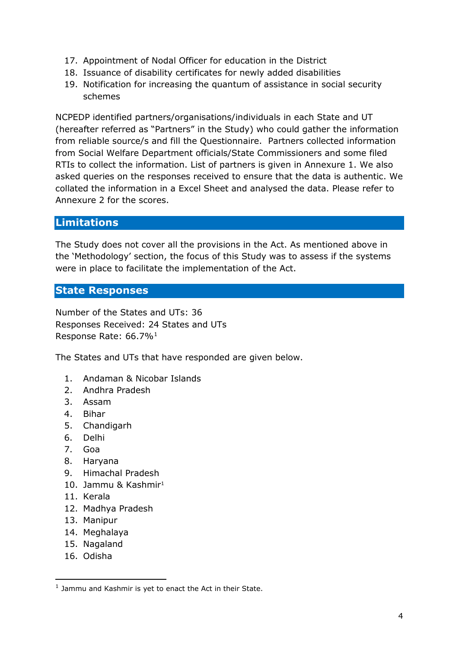- 17. Appointment of Nodal Officer for education in the District
- 18. Issuance of disability certificates for newly added disabilities
- 19. Notification for increasing the quantum of assistance in social security schemes

NCPEDP identified partners/organisations/individuals in each State and UT (hereafter referred as "Partners" in the Study) who could gather the information from reliable source/s and fill the Questionnaire. Partners collected information from Social Welfare Department officials/State Commissioners and some filed RTIs to collect the information. List of partners is given in Annexure 1. We also asked queries on the responses received to ensure that the data is authentic. We collated the information in a Excel Sheet and analysed the data. Please refer to Annexure 2 for the scores.

#### <span id="page-3-0"></span>**Limitations**

The Study does not cover all the provisions in the Act. As mentioned above in the 'Methodology' section, the focus of this Study was to assess if the systems were in place to facilitate the implementation of the Act.

#### <span id="page-3-1"></span>**State Responses**

Number of the States and UTs: 36 Responses Received: 24 States and UTs Response Rate: 66.7%<sup>[1](#page-3-2)</sup>

The States and UTs that have responded are given below.

- 1. Andaman & Nicobar Islands
- 2. Andhra Pradesh
- 3. Assam
- 4. Bihar
- 5. Chandigarh
- 6. Delhi
- 7. Goa
- 8. Haryana
- 9. Himachal Pradesh
- 10. Jammu & Kashmir<sup>1</sup>
- 11. Kerala
- 12. Madhya Pradesh
- 13. Manipur
- 14. Meghalaya
- 15. Nagaland
- 16. Odisha

-

<span id="page-3-2"></span> $1$  Jammu and Kashmir is yet to enact the Act in their State.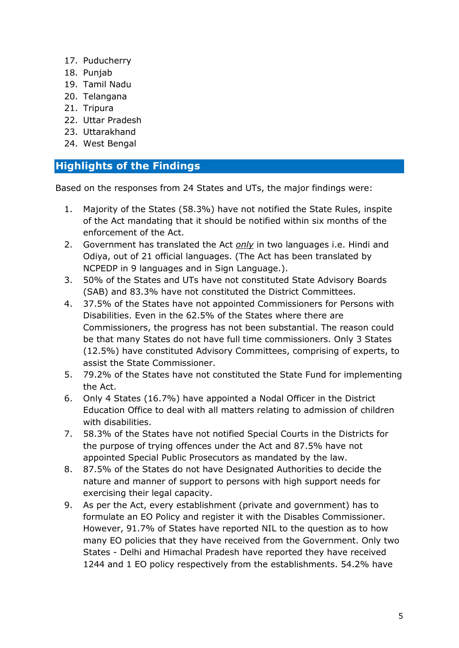- 17. Puducherry
- 18. Punjab
- 19. Tamil Nadu
- 20. Telangana
- 21. Tripura
- 22. Uttar Pradesh
- 23. Uttarakhand
- 24. West Bengal

#### <span id="page-4-0"></span>**Highlights of the Findings**

Based on the responses from 24 States and UTs, the major findings were:

- 1. Majority of the States (58.3%) have not notified the State Rules, inspite of the Act mandating that it should be notified within six months of the enforcement of the Act.
- 2. Government has translated the Act *only* in two languages i.e. Hindi and Odiya, out of 21 official languages. (The Act has been translated by NCPEDP in 9 languages and in Sign Language.).
- 3. 50% of the States and UTs have not constituted State Advisory Boards (SAB) and 83.3% have not constituted the District Committees.
- 4. 37.5% of the States have not appointed Commissioners for Persons with Disabilities. Even in the 62.5% of the States where there are Commissioners, the progress has not been substantial. The reason could be that many States do not have full time commissioners. Only 3 States (12.5%) have constituted Advisory Committees, comprising of experts, to assist the State Commissioner.
- 5. 79.2% of the States have not constituted the State Fund for implementing the Act.
- 6. Only 4 States (16.7%) have appointed a Nodal Officer in the District Education Office to deal with all matters relating to admission of children with disabilities.
- 7. 58.3% of the States have not notified Special Courts in the Districts for the purpose of trying offences under the Act and 87.5% have not appointed Special Public Prosecutors as mandated by the law.
- 8. 87.5% of the States do not have Designated Authorities to decide the nature and manner of support to persons with high support needs for exercising their legal capacity.
- 9. As per the Act, every establishment (private and government) has to formulate an EO Policy and register it with the Disables Commissioner. However, 91.7% of States have reported NIL to the question as to how many EO policies that they have received from the Government. Only two States - Delhi and Himachal Pradesh have reported they have received 1244 and 1 EO policy respectively from the establishments. 54.2% have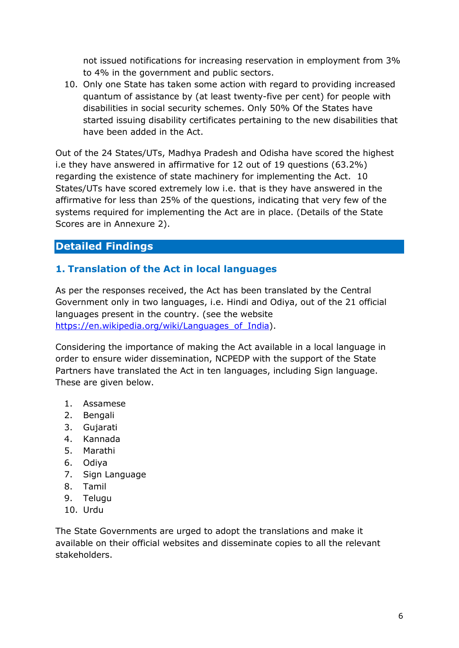not issued notifications for increasing reservation in employment from 3% to 4% in the government and public sectors.

10. Only one State has taken some action with regard to providing increased quantum of assistance by (at least twenty-five per cent) for people with disabilities in social security schemes. Only 50% Of the States have started issuing disability certificates pertaining to the new disabilities that have been added in the Act.

Out of the 24 States/UTs, Madhya Pradesh and Odisha have scored the highest i.e they have answered in affirmative for 12 out of 19 questions (63.2%) regarding the existence of state machinery for implementing the Act. 10 States/UTs have scored extremely low i.e. that is they have answered in the affirmative for less than 25% of the questions, indicating that very few of the systems required for implementing the Act are in place. (Details of the State Scores are in Annexure 2).

## <span id="page-5-0"></span>**Detailed Findings**

## <span id="page-5-1"></span>**1. Translation of the Act in local languages**

As per the responses received, the Act has been translated by the Central Government only in two languages, i.e. Hindi and Odiya, out of the 21 official languages present in the country. (see the website https://en.wikipedia.org/wiki/Languages of India).

Considering the importance of making the Act available in a local language in order to ensure wider dissemination, NCPEDP with the support of the State Partners have translated the Act in ten languages, including Sign language. These are given below.

- 1. Assamese
- 2. Bengali
- 3. Gujarati
- 4. Kannada
- 5. Marathi
- 6. Odiya
- 7. Sign Language
- 8. Tamil
- 9. Telugu
- 10. Urdu

The State Governments are urged to adopt the translations and make it available on their official websites and disseminate copies to all the relevant stakeholders.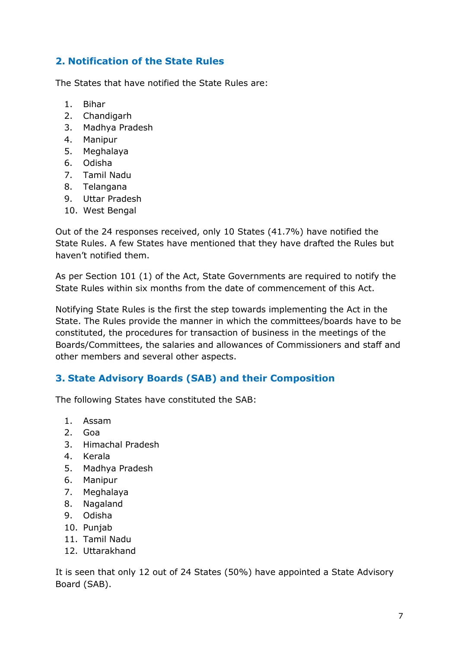## <span id="page-6-0"></span>**2. Notification of the State Rules**

The States that have notified the State Rules are:

- 1. Bihar
- 2. Chandigarh
- 3. Madhya Pradesh
- 4. Manipur
- 5. Meghalaya
- 6. Odisha
- 7. Tamil Nadu
- 8. Telangana
- 9. Uttar Pradesh
- 10. West Bengal

Out of the 24 responses received, only 10 States (41.7%) have notified the State Rules. A few States have mentioned that they have drafted the Rules but haven't notified them.

As per Section 101 (1) of the Act, State Governments are required to notify the State Rules within six months from the date of commencement of this Act.

Notifying State Rules is the first the step towards implementing the Act in the State. The Rules provide the manner in which the committees/boards have to be constituted, the procedures for transaction of business in the meetings of the Boards/Committees, the salaries and allowances of Commissioners and staff and other members and several other aspects.

#### <span id="page-6-1"></span>**3. State Advisory Boards (SAB) and their Composition**

The following States have constituted the SAB:

- 1. Assam
- 2. Goa
- 3. Himachal Pradesh
- 4. Kerala
- 5. Madhya Pradesh
- 6. Manipur
- 7. Meghalaya
- 8. Nagaland
- 9. Odisha
- 10. Punjab
- 11. Tamil Nadu
- 12. Uttarakhand

It is seen that only 12 out of 24 States (50%) have appointed a State Advisory Board (SAB).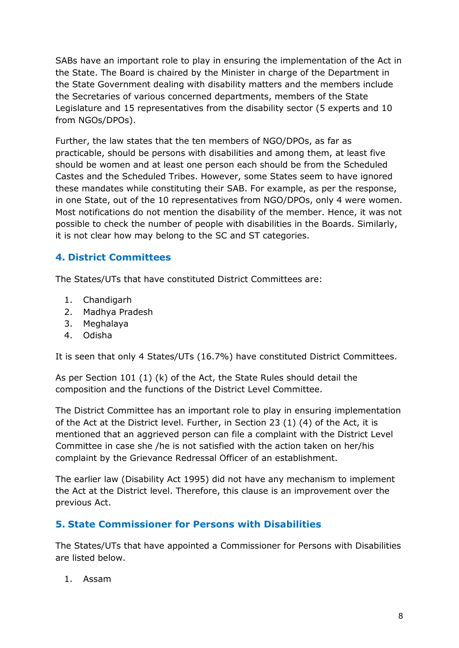SABs have an important role to play in ensuring the implementation of the Act in the State. The Board is chaired by the Minister in charge of the Department in the State Government dealing with disability matters and the members include the Secretaries of various concerned departments, members of the State Legislature and 15 representatives from the disability sector (5 experts and 10 from NGOs/DPOs).

Further, the law states that the ten members of NGO/DPOs, as far as practicable, should be persons with disabilities and among them, at least five should be women and at least one person each should be from the Scheduled Castes and the Scheduled Tribes. However, some States seem to have ignored these mandates while constituting their SAB. For example, as per the response, in one State, out of the 10 representatives from NGO/DPOs, only 4 were women. Most notifications do not mention the disability of the member. Hence, it was not possible to check the number of people with disabilities in the Boards. Similarly, it is not clear how may belong to the SC and ST categories.

## <span id="page-7-0"></span>**4. District Committees**

The States/UTs that have constituted District Committees are:

- 1. Chandigarh
- 2. Madhya Pradesh
- 3. Meghalaya
- 4. Odisha

It is seen that only 4 States/UTs (16.7%) have constituted District Committees.

As per Section 101 (1) (k) of the Act, the State Rules should detail the composition and the functions of the District Level Committee.

The District Committee has an important role to play in ensuring implementation of the Act at the District level. Further, in Section 23 (1) (4) of the Act, it is mentioned that an aggrieved person can file a complaint with the District Level Committee in case she /he is not satisfied with the action taken on her/his complaint by the Grievance Redressal Officer of an establishment.

The earlier law (Disability Act 1995) did not have any mechanism to implement the Act at the District level. Therefore, this clause is an improvement over the previous Act.

#### <span id="page-7-1"></span>**5. State Commissioner for Persons with Disabilities**

The States/UTs that have appointed a Commissioner for Persons with Disabilities are listed below.

1. Assam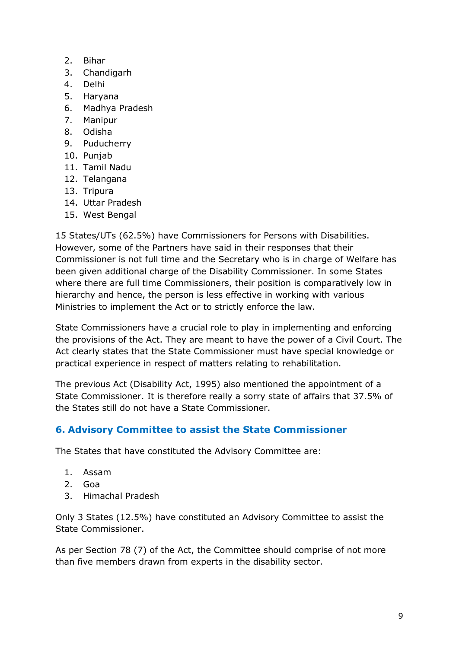- 2. Bihar
- 3. Chandigarh
- 4. Delhi
- 5. Haryana
- 6. Madhya Pradesh
- 7. Manipur
- 8. Odisha
- 9. Puducherry
- 10. Punjab
- 11. Tamil Nadu
- 12. Telangana
- 13. Tripura
- 14. Uttar Pradesh
- 15. West Bengal

15 States/UTs (62.5%) have Commissioners for Persons with Disabilities. However, some of the Partners have said in their responses that their Commissioner is not full time and the Secretary who is in charge of Welfare has been given additional charge of the Disability Commissioner. In some States where there are full time Commissioners, their position is comparatively low in hierarchy and hence, the person is less effective in working with various Ministries to implement the Act or to strictly enforce the law.

State Commissioners have a crucial role to play in implementing and enforcing the provisions of the Act. They are meant to have the power of a Civil Court. The Act clearly states that the State Commissioner must have special knowledge or practical experience in respect of matters relating to rehabilitation.

The previous Act (Disability Act, 1995) also mentioned the appointment of a State Commissioner. It is therefore really a sorry state of affairs that 37.5% of the States still do not have a State Commissioner.

# <span id="page-8-0"></span>**6. Advisory Committee to assist the State Commissioner**

The States that have constituted the Advisory Committee are:

- 1. Assam
- 2. Goa
- 3. Himachal Pradesh

Only 3 States (12.5%) have constituted an Advisory Committee to assist the State Commissioner.

As per Section 78 (7) of the Act, the Committee should comprise of not more than five members drawn from experts in the disability sector.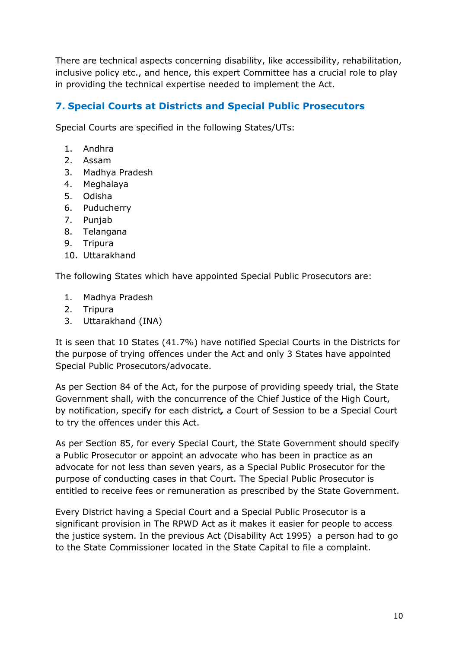There are technical aspects concerning disability, like accessibility, rehabilitation, inclusive policy etc., and hence, this expert Committee has a crucial role to play in providing the technical expertise needed to implement the Act.

## <span id="page-9-0"></span>**7. Special Courts at Districts and Special Public Prosecutors**

Special Courts are specified in the following States/UTs:

- 1. Andhra
- 2. Assam
- 3. Madhya Pradesh
- 4. Meghalaya
- 5. Odisha
- 6. Puducherry
- 7. Punjab
- 8. Telangana
- 9. Tripura
- 10. Uttarakhand

The following States which have appointed Special Public Prosecutors are:

- 1. Madhya Pradesh
- 2. Tripura
- 3. Uttarakhand (INA)

It is seen that 10 States (41.7%) have notified Special Courts in the Districts for the purpose of trying offences under the Act and only 3 States have appointed Special Public Prosecutors/advocate.

As per Section 84 of the Act, for the purpose of providing speedy trial, the State Government shall, with the concurrence of the Chief Justice of the High Court, by notification, specify for each district*,* a Court of Session to be a Special Court to try the offences under this Act.

As per Section 85, for every Special Court, the State Government should specify a Public Prosecutor or appoint an advocate who has been in practice as an advocate for not less than seven years, as a Special Public Prosecutor for the purpose of conducting cases in that Court. The Special Public Prosecutor is entitled to receive fees or remuneration as prescribed by the State Government.

Every District having a Special Court and a Special Public Prosecutor is a significant provision in The RPWD Act as it makes it easier for people to access the justice system. In the previous Act (Disability Act 1995) a person had to go to the State Commissioner located in the State Capital to file a complaint.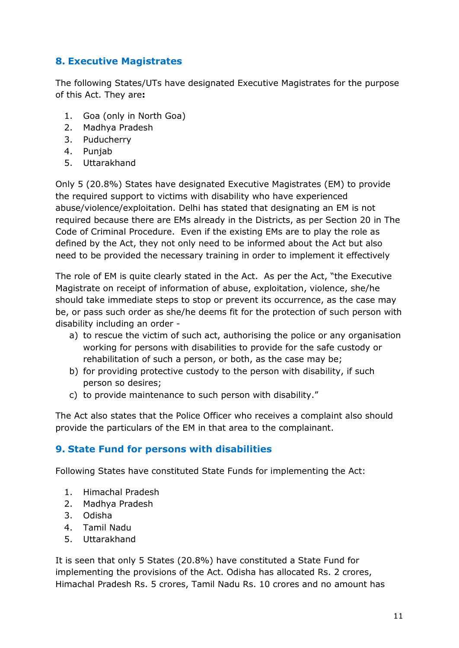## <span id="page-10-0"></span>**8. Executive Magistrates**

The following States/UTs have designated Executive Magistrates for the purpose of this Act. They are**:** 

- 1. Goa (only in North Goa)
- 2. Madhya Pradesh
- 3. Puducherry
- 4. Punjab
- 5. Uttarakhand

Only 5 (20.8%) States have designated Executive Magistrates (EM) to provide the required support to victims with disability who have experienced abuse/violence/exploitation. Delhi has stated that designating an EM is not required because there are EMs already in the Districts, as per Section 20 in The Code of Criminal Procedure. Even if the existing EMs are to play the role as defined by the Act, they not only need to be informed about the Act but also need to be provided the necessary training in order to implement it effectively

The role of EM is quite clearly stated in the Act. As per the Act, "the Executive Magistrate on receipt of information of abuse, exploitation, violence, she/he should take immediate steps to stop or prevent its occurrence, as the case may be, or pass such order as she/he deems fit for the protection of such person with disability including an order -

- a) to rescue the victim of such act, authorising the police or any organisation working for persons with disabilities to provide for the safe custody or rehabilitation of such a person, or both, as the case may be;
- b) for providing protective custody to the person with disability, if such person so desires;
- c) to provide maintenance to such person with disability."

The Act also states that the Police Officer who receives a complaint also should provide the particulars of the EM in that area to the complainant.

#### <span id="page-10-1"></span>**9. State Fund for persons with disabilities**

Following States have constituted State Funds for implementing the Act:

- 1. Himachal Pradesh
- 2. Madhya Pradesh
- 3. Odisha
- 4. Tamil Nadu
- 5. Uttarakhand

It is seen that only 5 States (20.8%) have constituted a State Fund for implementing the provisions of the Act. Odisha has allocated Rs. 2 crores, Himachal Pradesh Rs. 5 crores, Tamil Nadu Rs. 10 crores and no amount has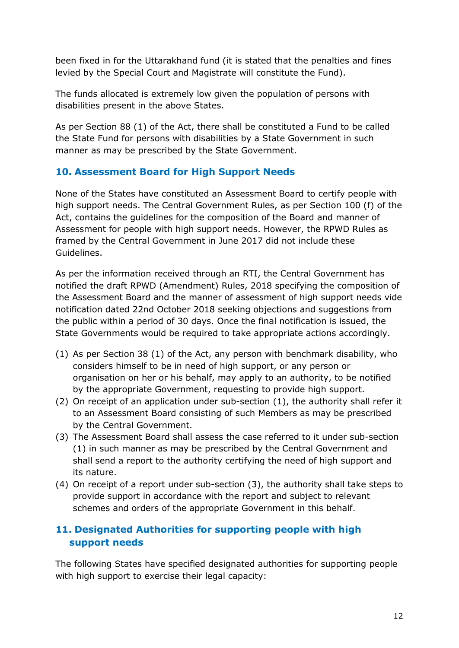been fixed in for the Uttarakhand fund (it is stated that the penalties and fines levied by the Special Court and Magistrate will constitute the Fund).

The funds allocated is extremely low given the population of persons with disabilities present in the above States.

As per Section 88 (1) of the Act, there shall be constituted a Fund to be called the State Fund for persons with disabilities by a State Government in such manner as may be prescribed by the State Government.

## <span id="page-11-0"></span>**10. Assessment Board for High Support Needs**

None of the States have constituted an Assessment Board to certify people with high support needs. The Central Government Rules, as per Section 100 (f) of the Act, contains the guidelines for the composition of the Board and manner of Assessment for people with high support needs. However, the RPWD Rules as framed by the Central Government in June 2017 did not include these Guidelines.

As per the information received through an RTI, the Central Government has notified the draft RPWD (Amendment) Rules, 2018 specifying the composition of the Assessment Board and the manner of assessment of high support needs vide notification dated 22nd October 2018 seeking objections and suggestions from the public within a period of 30 days. Once the final notification is issued, the State Governments would be required to take appropriate actions accordingly.

- (1) As per Section 38 (1) of the Act, any person with benchmark disability, who considers himself to be in need of high support, or any person or organisation on her or his behalf, may apply to an authority, to be notified by the appropriate Government, requesting to provide high support.
- (2) On receipt of an application under sub-section (1), the authority shall refer it to an Assessment Board consisting of such Members as may be prescribed by the Central Government.
- (3) The Assessment Board shall assess the case referred to it under sub-section (1) in such manner as may be prescribed by the Central Government and shall send a report to the authority certifying the need of high support and its nature.
- (4) On receipt of a report under sub-section (3), the authority shall take steps to provide support in accordance with the report and subject to relevant schemes and orders of the appropriate Government in this behalf.

# <span id="page-11-1"></span>**11. Designated Authorities for supporting people with high support needs**

The following States have specified designated authorities for supporting people with high support to exercise their legal capacity: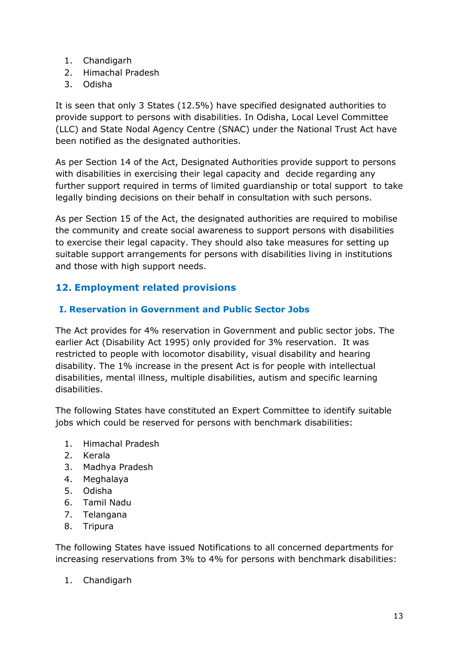- 1. Chandigarh
- 2. Himachal Pradesh
- 3. Odisha

It is seen that only 3 States (12.5%) have specified designated authorities to provide support to persons with disabilities. In Odisha, Local Level Committee (LLC) and State Nodal Agency Centre (SNAC) under the National Trust Act have been notified as the designated authorities.

As per Section 14 of the Act, Designated Authorities provide support to persons with disabilities in exercising their legal capacity and decide regarding any further support required in terms of limited guardianship or total support to take legally binding decisions on their behalf in consultation with such persons.

As per Section 15 of the Act, the designated authorities are required to mobilise the community and create social awareness to support persons with disabilities to exercise their legal capacity. They should also take measures for setting up suitable support arrangements for persons with disabilities living in institutions and those with high support needs.

# <span id="page-12-0"></span>**12. Employment related provisions**

#### <span id="page-12-1"></span>**I. Reservation in Government and Public Sector Jobs**

The Act provides for 4% reservation in Government and public sector jobs. The earlier Act (Disability Act 1995) only provided for 3% reservation. It was restricted to people with locomotor disability, visual disability and hearing disability. The 1% increase in the present Act is for people with intellectual disabilities, mental illness, multiple disabilities, autism and specific learning disabilities.

The following States have constituted an Expert Committee to identify suitable jobs which could be reserved for persons with benchmark disabilities:

- 1. Himachal Pradesh
- 2. Kerala
- 3. Madhya Pradesh
- 4. Meghalaya
- 5. Odisha
- 6. Tamil Nadu
- 7. Telangana
- 8. Tripura

The following States have issued Notifications to all concerned departments for increasing reservations from 3% to 4% for persons with benchmark disabilities:

1. Chandigarh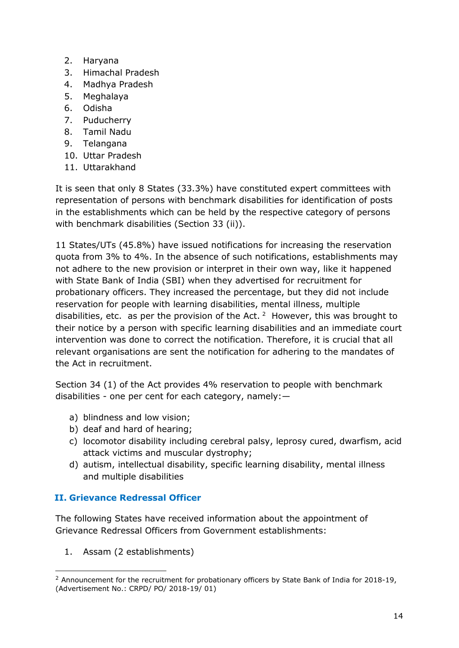- 2. Haryana
- 3. Himachal Pradesh
- 4. Madhya Pradesh
- 5. Meghalaya
- 6. Odisha
- 7. Puducherry
- 8. Tamil Nadu
- 9. Telangana
- 10. Uttar Pradesh
- 11. Uttarakhand

It is seen that only 8 States (33.3%) have constituted expert committees with representation of persons with benchmark disabilities for identification of posts in the establishments which can be held by the respective category of persons with benchmark disabilities (Section 33 (ii)).

11 States/UTs (45.8%) have issued notifications for increasing the reservation quota from 3% to 4%. In the absence of such notifications, establishments may not adhere to the new provision or interpret in their own way, like it happened with State Bank of India (SBI) when they advertised for recruitment for probationary officers. They increased the percentage, but they did not include reservation for people with learning disabilities, mental illness, multiple disabilities, etc. as per the provision of the Act.  $2$  However, this was brought to their notice by a person with specific learning disabilities and an immediate court intervention was done to correct the notification. Therefore, it is crucial that all relevant organisations are sent the notification for adhering to the mandates of the Act in recruitment.

Section 34 (1) of the Act provides 4% reservation to people with benchmark disabilities - one per cent for each category, namely:—

- a) blindness and low vision;
- b) deaf and hard of hearing;
- c) locomotor disability including cerebral palsy, leprosy cured, dwarfism, acid attack victims and muscular dystrophy;
- d) autism, intellectual disability, specific learning disability, mental illness and multiple disabilities

#### <span id="page-13-0"></span>**II. Grievance Redressal Officer**

The following States have received information about the appointment of Grievance Redressal Officers from Government establishments:

1. Assam (2 establishments)

-

<span id="page-13-1"></span><sup>&</sup>lt;sup>2</sup> Announcement for the recruitment for probationary officers by State Bank of India for 2018-19, (Advertisement No.: CRPD/ PO/ 2018-19/ 01)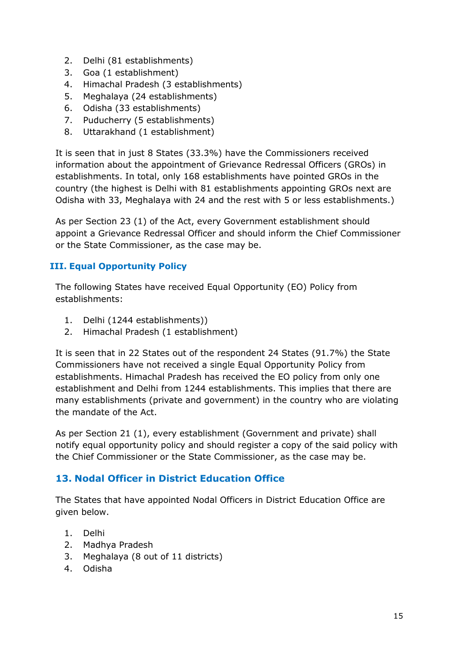- 2. Delhi (81 establishments)
- 3. Goa (1 establishment)
- 4. Himachal Pradesh (3 establishments)
- 5. Meghalaya (24 establishments)
- 6. Odisha (33 establishments)
- 7. Puducherry (5 establishments)
- 8. Uttarakhand (1 establishment)

It is seen that in just 8 States (33.3%) have the Commissioners received information about the appointment of Grievance Redressal Officers (GROs) in establishments. In total, only 168 establishments have pointed GROs in the country (the highest is Delhi with 81 establishments appointing GROs next are Odisha with 33, Meghalaya with 24 and the rest with 5 or less establishments.)

As per Section 23 (1) of the Act, every Government establishment should appoint a Grievance Redressal Officer and should inform the Chief Commissioner or the State Commissioner, as the case may be.

#### <span id="page-14-0"></span>**III. Equal Opportunity Policy**

The following States have received Equal Opportunity (EO) Policy from establishments:

- 1. Delhi (1244 establishments))
- 2. Himachal Pradesh (1 establishment)

It is seen that in 22 States out of the respondent 24 States (91.7%) the State Commissioners have not received a single Equal Opportunity Policy from establishments. Himachal Pradesh has received the EO policy from only one establishment and Delhi from 1244 establishments. This implies that there are many establishments (private and government) in the country who are violating the mandate of the Act.

As per Section 21 (1), every establishment (Government and private) shall notify equal opportunity policy and should register a copy of the said policy with the Chief Commissioner or the State Commissioner, as the case may be.

# <span id="page-14-1"></span>**13. Nodal Officer in District Education Office**

The States that have appointed Nodal Officers in District Education Office are given below.

- 1. Delhi
- 2. Madhya Pradesh
- 3. Meghalaya (8 out of 11 districts)
- 4. Odisha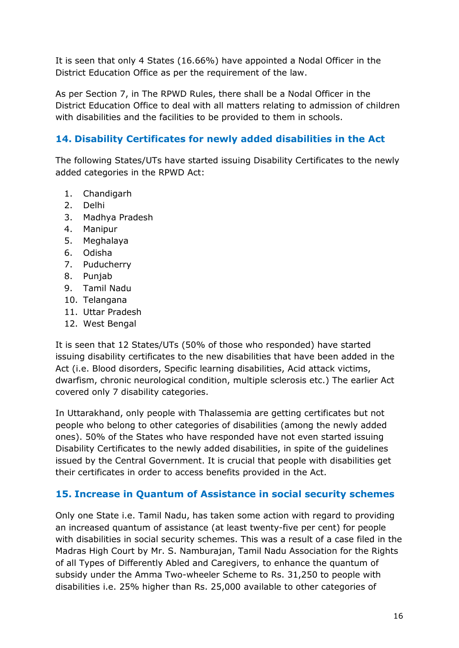It is seen that only 4 States (16.66%) have appointed a Nodal Officer in the District Education Office as per the requirement of the law.

As per Section 7, in The RPWD Rules, there shall be a Nodal Officer in the District Education Office to deal with all matters relating to admission of children with disabilities and the facilities to be provided to them in schools.

## <span id="page-15-0"></span>**14. Disability Certificates for newly added disabilities in the Act**

The following States/UTs have started issuing Disability Certificates to the newly added categories in the RPWD Act:

- 1. Chandigarh
- 2. Delhi
- 3. Madhya Pradesh
- 4. Manipur
- 5. Meghalaya
- 6. Odisha
- 7. Puducherry
- 8. Punjab
- 9. Tamil Nadu
- 10. Telangana
- 11. Uttar Pradesh
- 12. West Bengal

It is seen that 12 States/UTs (50% of those who responded) have started issuing disability certificates to the new disabilities that have been added in the Act (i.e. Blood disorders, Specific learning disabilities, Acid attack victims, dwarfism, chronic neurological condition, multiple sclerosis etc.) The earlier Act covered only 7 disability categories.

In Uttarakhand, only people with Thalassemia are getting certificates but not people who belong to other categories of disabilities (among the newly added ones). 50% of the States who have responded have not even started issuing Disability Certificates to the newly added disabilities, in spite of the guidelines issued by the Central Government. It is crucial that people with disabilities get their certificates in order to access benefits provided in the Act.

#### <span id="page-15-1"></span>**15. Increase in Quantum of Assistance in social security schemes**

Only one State i.e. Tamil Nadu, has taken some action with regard to providing an increased quantum of assistance (at least twenty-five per cent) for people with disabilities in social security schemes. This was a result of a case filed in the Madras High Court by Mr. S. Namburajan, Tamil Nadu Association for the Rights of all Types of Differently Abled and Caregivers, to enhance the quantum of subsidy under the Amma Two-wheeler Scheme to Rs. 31,250 to people with disabilities i.e. 25% higher than Rs. 25,000 available to other categories of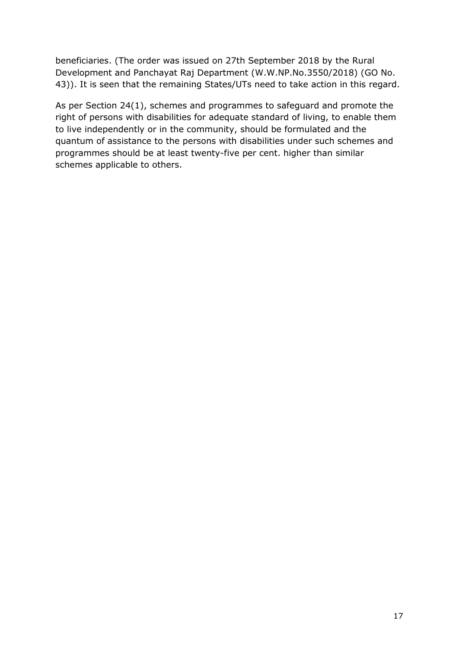beneficiaries. (The order was issued on 27th September 2018 by the Rural Development and Panchayat Raj Department (W.W.NP.No.3550/2018) (GO No. 43)). It is seen that the remaining States/UTs need to take action in this regard.

As per Section 24(1), schemes and programmes to safeguard and promote the right of persons with disabilities for adequate standard of living, to enable them to live independently or in the community, should be formulated and the quantum of assistance to the persons with disabilities under such schemes and programmes should be at least twenty-five per cent. higher than similar schemes applicable to others.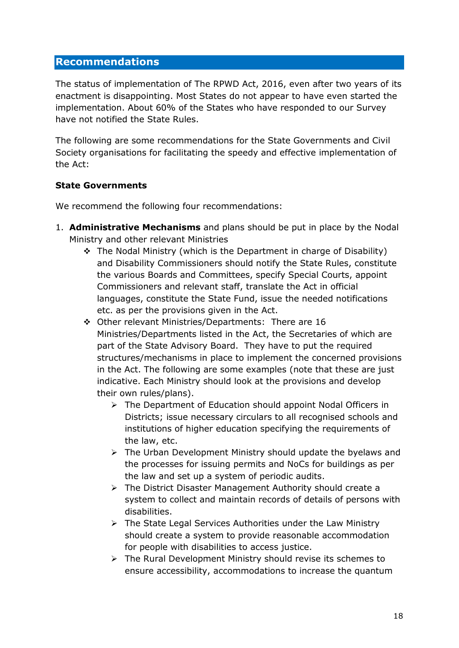#### <span id="page-17-0"></span>**Recommendations**

The status of implementation of The RPWD Act, 2016, even after two years of its enactment is disappointing. Most States do not appear to have even started the implementation. About 60% of the States who have responded to our Survey have not notified the State Rules.

The following are some recommendations for the State Governments and Civil Society organisations for facilitating the speedy and effective implementation of the Act:

#### **State Governments**

We recommend the following four recommendations:

- 1. **Administrative Mechanisms** and plans should be put in place by the Nodal Ministry and other relevant Ministries
	- $\div$  The Nodal Ministry (which is the Department in charge of Disability) and Disability Commissioners should notify the State Rules, constitute the various Boards and Committees, specify Special Courts, appoint Commissioners and relevant staff, translate the Act in official languages, constitute the State Fund, issue the needed notifications etc. as per the provisions given in the Act.
	- Other relevant Ministries/Departments: There are 16 Ministries/Departments listed in the Act, the Secretaries of which are part of the State Advisory Board. They have to put the required structures/mechanisms in place to implement the concerned provisions in the Act. The following are some examples (note that these are just indicative. Each Ministry should look at the provisions and develop their own rules/plans).
		- $\triangleright$  The Department of Education should appoint Nodal Officers in Districts; issue necessary circulars to all recognised schools and institutions of higher education specifying the requirements of the law, etc.
		- $\triangleright$  The Urban Development Ministry should update the byelaws and the processes for issuing permits and NoCs for buildings as per the law and set up a system of periodic audits.
		- $\triangleright$  The District Disaster Management Authority should create a system to collect and maintain records of details of persons with disabilities.
		- $\triangleright$  The State Legal Services Authorities under the Law Ministry should create a system to provide reasonable accommodation for people with disabilities to access justice.
		- $\triangleright$  The Rural Development Ministry should revise its schemes to ensure accessibility, accommodations to increase the quantum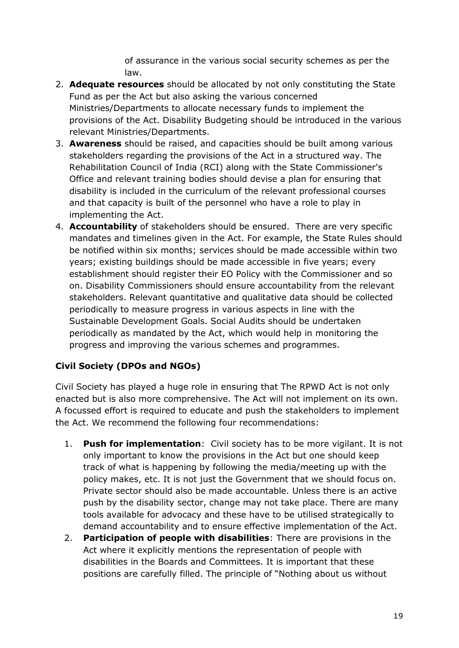of assurance in the various social security schemes as per the law.

- 2. **Adequate resources** should be allocated by not only constituting the State Fund as per the Act but also asking the various concerned Ministries/Departments to allocate necessary funds to implement the provisions of the Act. Disability Budgeting should be introduced in the various relevant Ministries/Departments.
- 3. **Awareness** should be raised, and capacities should be built among various stakeholders regarding the provisions of the Act in a structured way. The Rehabilitation Council of India (RCI) along with the State Commissioner's Office and relevant training bodies should devise a plan for ensuring that disability is included in the curriculum of the relevant professional courses and that capacity is built of the personnel who have a role to play in implementing the Act.
- 4. **Accountability** of stakeholders should be ensured. There are very specific mandates and timelines given in the Act. For example, the State Rules should be notified within six months; services should be made accessible within two years; existing buildings should be made accessible in five years; every establishment should register their EO Policy with the Commissioner and so on. Disability Commissioners should ensure accountability from the relevant stakeholders. Relevant quantitative and qualitative data should be collected periodically to measure progress in various aspects in line with the Sustainable Development Goals. Social Audits should be undertaken periodically as mandated by the Act, which would help in monitoring the progress and improving the various schemes and programmes.

#### **Civil Society (DPOs and NGOs)**

Civil Society has played a huge role in ensuring that The RPWD Act is not only enacted but is also more comprehensive. The Act will not implement on its own. A focussed effort is required to educate and push the stakeholders to implement the Act. We recommend the following four recommendations:

- 1. **Push for implementation**: Civil society has to be more vigilant. It is not only important to know the provisions in the Act but one should keep track of what is happening by following the media/meeting up with the policy makes, etc. It is not just the Government that we should focus on. Private sector should also be made accountable. Unless there is an active push by the disability sector, change may not take place. There are many tools available for advocacy and these have to be utilised strategically to demand accountability and to ensure effective implementation of the Act.
- 2. **Participation of people with disabilities**: There are provisions in the Act where it explicitly mentions the representation of people with disabilities in the Boards and Committees. It is important that these positions are carefully filled. The principle of "Nothing about us without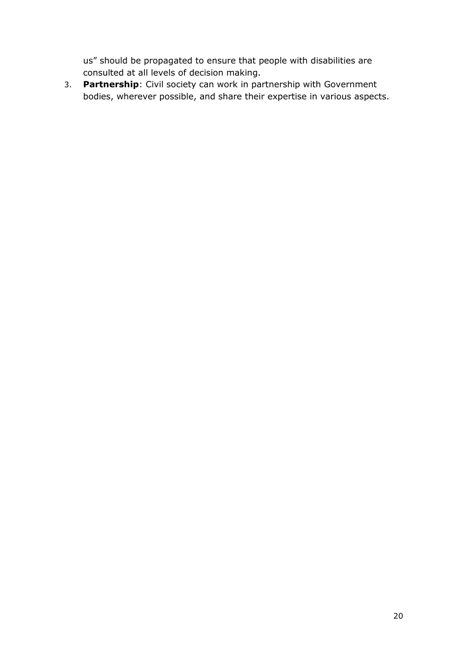us" should be propagated to ensure that people with disabilities are consulted at all levels of decision making.

3. **Partnership**: Civil society can work in partnership with Government bodies, wherever possible, and share their expertise in various aspects.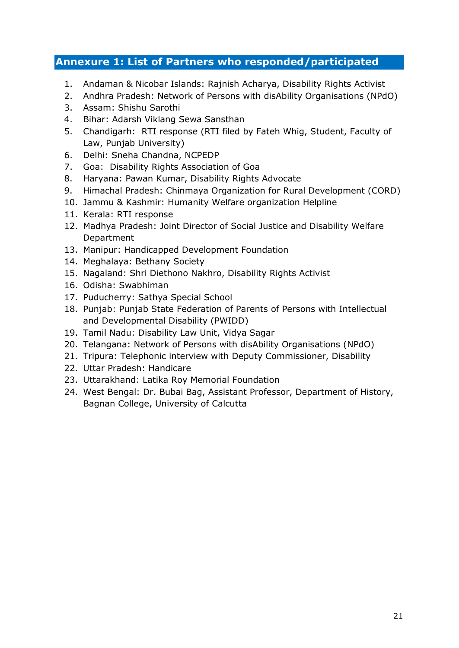# <span id="page-20-0"></span>**Annexure 1: List of Partners who responded/participated**

- 1. Andaman & Nicobar Islands: Rajnish Acharya, Disability Rights Activist
- 2. Andhra Pradesh: Network of Persons with disAbility Organisations (NPdO)
- 3. Assam: Shishu Sarothi
- 4. Bihar: Adarsh Viklang Sewa Sansthan
- 5. Chandigarh: RTI response (RTI filed by Fateh Whig, Student, Faculty of Law, Punjab University)
- 6. Delhi: Sneha Chandna, NCPEDP
- 7. Goa: Disability Rights Association of Goa
- 8. Haryana: Pawan Kumar, Disability Rights Advocate
- 9. Himachal Pradesh: Chinmaya Organization for Rural Development (CORD)
- 10. Jammu & Kashmir: Humanity Welfare organization Helpline
- 11. Kerala: RTI response
- 12. Madhya Pradesh: Joint Director of Social Justice and Disability Welfare Department
- 13. Manipur: Handicapped Development Foundation
- 14. Meghalaya: Bethany Society
- 15. Nagaland: Shri Diethono Nakhro, Disability Rights Activist
- 16. Odisha: Swabhiman
- 17. Puducherry: Sathya Special School
- 18. Punjab: Punjab State Federation of Parents of Persons with Intellectual and Developmental Disability (PWIDD)
- 19. Tamil Nadu: Disability Law Unit, Vidya Sagar
- 20. Telangana: Network of Persons with disAbility Organisations (NPdO)
- 21. Tripura: Telephonic interview with Deputy Commissioner, Disability
- 22. Uttar Pradesh: Handicare
- 23. Uttarakhand: Latika Roy Memorial Foundation
- 24. West Bengal: Dr. Bubai Bag, Assistant Professor, Department of History, Bagnan College, University of Calcutta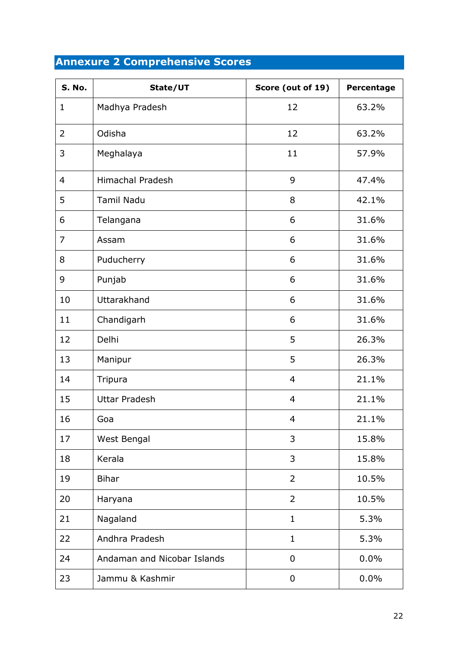# <span id="page-21-0"></span>**Annexure 2 Comprehensive Scores**

| S. No.         | State/UT                    | Score (out of 19) | Percentage |
|----------------|-----------------------------|-------------------|------------|
| 1              | Madhya Pradesh              | 12                | 63.2%      |
| $\overline{2}$ | Odisha                      | 12                | 63.2%      |
| 3              | Meghalaya                   | 11                | 57.9%      |
| $\overline{4}$ | <b>Himachal Pradesh</b>     | 9                 | 47.4%      |
| 5              | <b>Tamil Nadu</b>           | 8                 | 42.1%      |
| 6              | Telangana                   | 6                 | 31.6%      |
| 7              | Assam                       | 6                 | 31.6%      |
| 8              | Puducherry                  | 6                 | 31.6%      |
| 9              | Punjab                      | 6                 | 31.6%      |
| 10             | Uttarakhand                 | 6                 | 31.6%      |
| 11             | Chandigarh                  | 6                 | 31.6%      |
| 12             | Delhi                       | 5                 | 26.3%      |
| 13             | Manipur                     | 5                 | 26.3%      |
| 14             | Tripura                     | $\overline{a}$    | 21.1%      |
| 15             | <b>Uttar Pradesh</b>        | 4                 | 21.1%      |
| 16             | Goa                         | 4                 | 21.1%      |
| 17             | West Bengal                 | 3                 | 15.8%      |
| 18             | Kerala                      | 3                 | 15.8%      |
| 19             | <b>Bihar</b>                | $\overline{2}$    | 10.5%      |
| 20             | Haryana                     | $\overline{2}$    | 10.5%      |
| 21             | Nagaland                    | $\mathbf{1}$      | 5.3%       |
| 22             | Andhra Pradesh              | $\mathbf{1}$      | 5.3%       |
| 24             | Andaman and Nicobar Islands | $\mathbf 0$       | 0.0%       |
| 23             | Jammu & Kashmir             | 0                 | 0.0%       |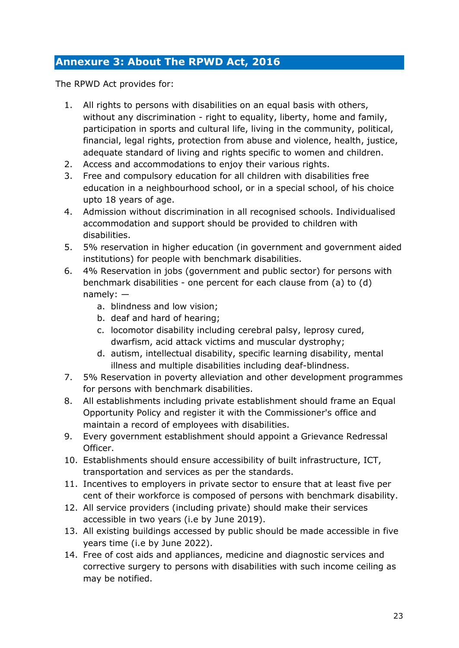# <span id="page-22-0"></span>**Annexure 3: About The RPWD Act, 2016**

The RPWD Act provides for:

- 1. All rights to persons with disabilities on an equal basis with others, without any discrimination - right to equality, liberty, home and family, participation in sports and cultural life, living in the community, political, financial, legal rights, protection from abuse and violence, health, justice, adequate standard of living and rights specific to women and children.
- 2. Access and accommodations to enjoy their various rights.
- 3. Free and compulsory education for all children with disabilities free education in a neighbourhood school, or in a special school, of his choice upto 18 years of age.
- 4. Admission without discrimination in all recognised schools. Individualised accommodation and support should be provided to children with disabilities.
- 5. 5% reservation in higher education (in government and government aided institutions) for people with benchmark disabilities.
- 6. 4% Reservation in jobs (government and public sector) for persons with benchmark disabilities - one percent for each clause from (a) to (d) namely:
	- a. blindness and low vision;
	- b. deaf and hard of hearing;
	- c. locomotor disability including cerebral palsy, leprosy cured, dwarfism, acid attack victims and muscular dystrophy;
	- d. autism, intellectual disability, specific learning disability, mental illness and multiple disabilities including deaf-blindness.
- 7. 5% Reservation in poverty alleviation and other development programmes for persons with benchmark disabilities.
- 8. All establishments including private establishment should frame an Equal Opportunity Policy and register it with the Commissioner's office and maintain a record of employees with disabilities.
- 9. Every government establishment should appoint a Grievance Redressal Officer.
- 10. Establishments should ensure accessibility of built infrastructure, ICT, transportation and services as per the standards.
- 11. Incentives to employers in private sector to ensure that at least five per cent of their workforce is composed of persons with benchmark disability.
- 12. All service providers (including private) should make their services accessible in two years (i.e by June 2019).
- 13. All existing buildings accessed by public should be made accessible in five years time (i.e by June 2022).
- 14. Free of cost aids and appliances, medicine and diagnostic services and corrective surgery to persons with disabilities with such income ceiling as may be notified.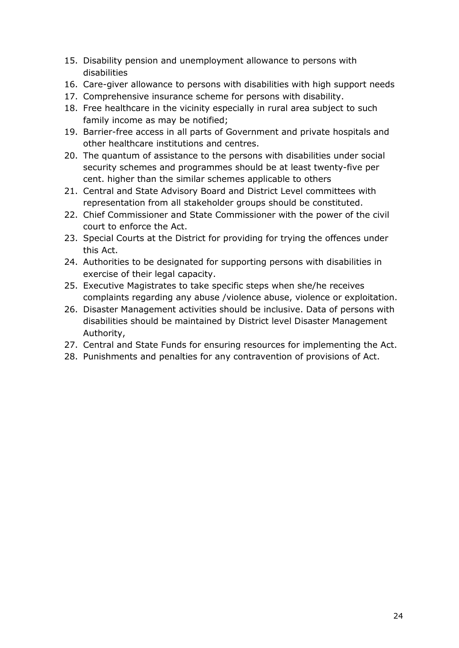- 15. Disability pension and unemployment allowance to persons with disabilities
- 16. Care-giver allowance to persons with disabilities with high support needs
- 17. Comprehensive insurance scheme for persons with disability.
- 18. Free healthcare in the vicinity especially in rural area subject to such family income as may be notified;
- 19. Barrier-free access in all parts of Government and private hospitals and other healthcare institutions and centres.
- 20. The quantum of assistance to the persons with disabilities under social security schemes and programmes should be at least twenty-five per cent. higher than the similar schemes applicable to others
- 21. Central and State Advisory Board and District Level committees with representation from all stakeholder groups should be constituted.
- 22. Chief Commissioner and State Commissioner with the power of the civil court to enforce the Act.
- 23. Special Courts at the District for providing for trying the offences under this Act.
- 24. Authorities to be designated for supporting persons with disabilities in exercise of their legal capacity.
- 25. Executive Magistrates to take specific steps when she/he receives complaints regarding any abuse /violence abuse, violence or exploitation.
- 26. Disaster Management activities should be inclusive. Data of persons with disabilities should be maintained by District level Disaster Management Authority,
- 27. Central and State Funds for ensuring resources for implementing the Act.
- 28. Punishments and penalties for any contravention of provisions of Act.